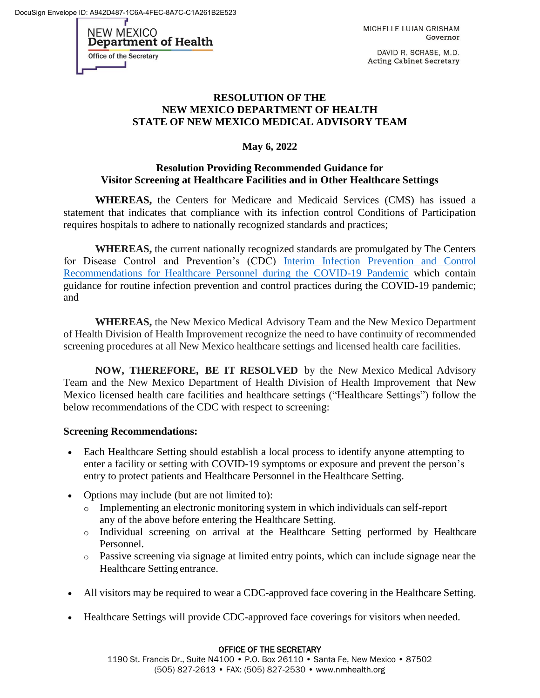DocuSign Envelope ID: A942D487-1C6A-4FEC-8A7C-C1A261B2E523

NEW MEXICO Department of Health **Office of the Secretary** 

MICHELLE LUJAN GRISHAM Governor

DAVID R. SCRASE, M.D. **Acting Cabinet Secretary** 

## **RESOLUTION OF THE NEW MEXICO DEPARTMENT OF HEALTH STATE OF NEW MEXICO MEDICAL ADVISORY TEAM**

## **May 6, 2022**

## **Resolution Providing Recommended Guidance for Visitor Screening at Healthcare Facilities and in Other Healthcare Settings**

**WHEREAS,** the Centers for Medicare and Medicaid Services (CMS) has issued a statement that indicates that compliance with its infection control Conditions of Participation requires hospitals to adhere to nationally recognized standards and practices;

**WHEREAS,** the current nationally recognized standards are promulgated by The Centers for Disease Control and Prevention's (CDC) [Interim Infection](https://www.cdc.gov/coronavirus/2019-ncov/hcp/infection-control-recommendations.html) [Prevention and Control](https://www.cdc.gov/coronavirus/2019-ncov/hcp/infection-control-recommendations.html)  [Recommendations for Healthcare Personnel during the COVID-19 Pandemic](https://www.cdc.gov/coronavirus/2019-ncov/hcp/infection-control-recommendations.html) which contain guidance for routine infection prevention and control practices during the COVID-19 pandemic; and

**WHEREAS,** the New Mexico Medical Advisory Team and the New Mexico Department of Health Division of Health Improvement recognize the need to have continuity of recommended screening procedures at all New Mexico healthcare settings and licensed health care facilities.

**NOW, THEREFORE, BE IT RESOLVED** by the New Mexico Medical Advisory Team and the New Mexico Department of Health Division of Health Improvement that New Mexico licensed health care facilities and healthcare settings ("Healthcare Settings") follow the below recommendations of the CDC with respect to screening:

#### **Screening Recommendations:**

- Each Healthcare Setting should establish a local process to identify anyone attempting to enter a facility or setting with COVID-19 symptoms or exposure and prevent the person's entry to protect patients and Healthcare Personnel in the Healthcare Setting.
- Options may include (but are not limited to):
	- o Implementing an electronic monitoring system in which individuals can self-report any of the above before entering the Healthcare Setting.
	- o Individual screening on arrival at the Healthcare Setting performed by Healthcare Personnel.
	- o Passive screening via signage at limited entry points, which can include signage near the Healthcare Setting entrance.
- All visitors may be required to wear a CDC-approved face covering in the Healthcare Setting.
- Healthcare Settings will provide CDC-approved face coverings for visitors when needed.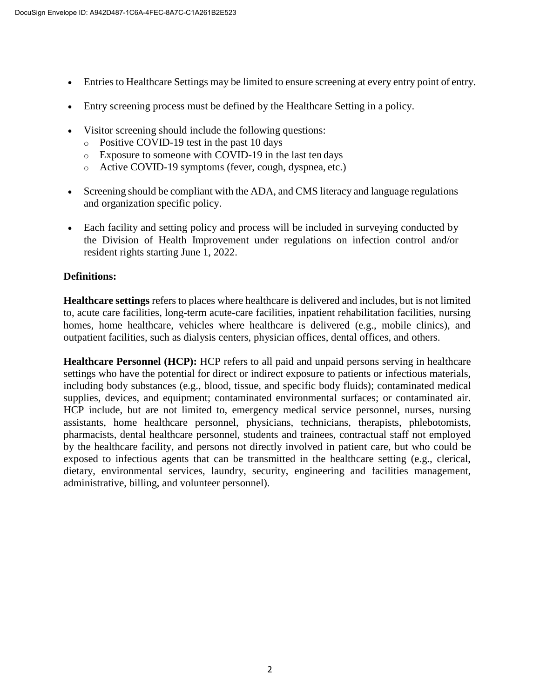- Entries to Healthcare Settings may be limited to ensure screening at every entry point of entry.
- Entry screening process must be defined by the Healthcare Setting in a policy.
- Visitor screening should include the following questions:
	- o Positive COVID-19 test in the past 10 days
	- o Exposure to someone with COVID-19 in the last ten days
	- o Active COVID-19 symptoms (fever, cough, dyspnea, etc.)
- Screening should be compliant with the ADA, and CMS literacy and language regulations and organization specific policy.
- Each facility and setting policy and process will be included in surveying conducted by the Division of Health Improvement under regulations on infection control and/or resident rights starting June 1, 2022.

## **Definitions:**

**Healthcare settings** refers to places where healthcare is delivered and includes, but is not limited to, acute care facilities, long-term acute-care facilities, inpatient rehabilitation facilities, nursing homes, home healthcare, vehicles where healthcare is delivered (e.g., mobile clinics), and outpatient facilities, such as dialysis centers, physician offices, dental offices, and others.

**Healthcare Personnel (HCP):** HCP refers to all paid and unpaid persons serving in healthcare settings who have the potential for direct or indirect exposure to patients or infectious materials, including body substances (e.g., blood, tissue, and specific body fluids); contaminated medical supplies, devices, and equipment; contaminated environmental surfaces; or contaminated air. HCP include, but are not limited to, emergency medical service personnel, nurses, nursing assistants, home healthcare personnel, physicians, technicians, therapists, phlebotomists, pharmacists, dental healthcare personnel, students and trainees, contractual staff not employed by the healthcare facility, and persons not directly involved in patient care, but who could be exposed to infectious agents that can be transmitted in the healthcare setting (e.g., clerical, dietary, environmental services, laundry, security, engineering and facilities management, administrative, billing, and volunteer personnel).